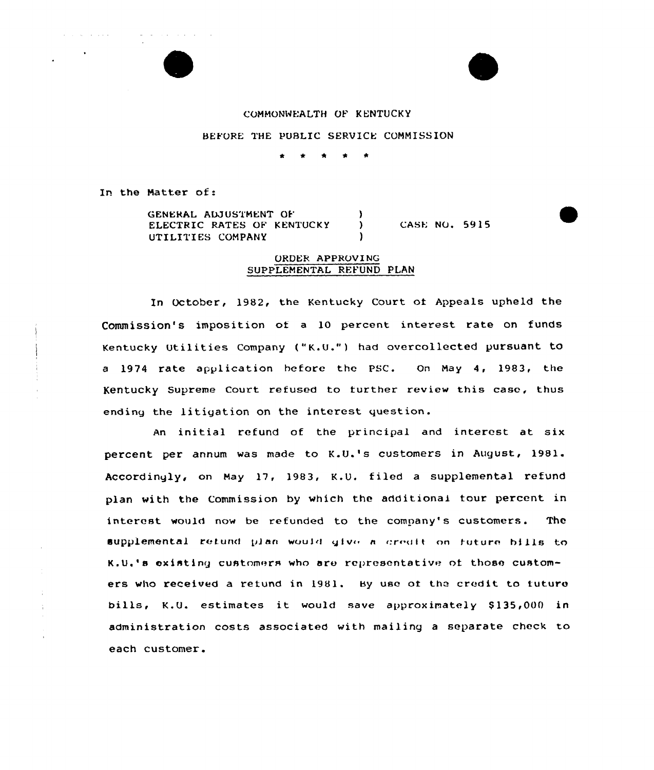

BEFORE THE PUBLIC SERVICE COMMISSION

t \* \* <sup>0</sup> \*

In the Hatter of:

والتواصل والمتعارف والمستحقق والتناول والموارد والمواردة

GENERAL ADJUSTMENT OF ELECTRIC RATES OF KENTUCKY ) UTILITIES COMPANY ) CASE NQ. 5915

## ORDER APPROVING SUPPLEMENTAL REFUND PLAN

In October, 1982, the Kentucky Court of Appeals upheld the Commission's imposition of a 10 percent interest rate on funds Kentucky Utilities Company ("K.U.") had overcollected pursuant to <sup>a</sup> 1974 rate application before the PSC. On May 4, 1983, the Kentucky Supreme Court refused to further review this case, thus ending the litigation on the interest question.

An initial refund of the principal and interest at six percent per annum was made to K.U.'s customers in August, 1981. Accordingly, on May 17, 1983, K.U. filed a supplemental refund plan with the Commission by which the additional four percent in interest would now be refunded to the company's customers. The supplemental refund plan would give a credit on future hills to K.U.'s existing customers who are representative of those customers who received a retund in 1981. By use of the credit to future bills, K.U. estimates it would save approximately \$135,000 in administration costs associated with mailing <sup>a</sup> separate check to each customer.

÷

 $\hat{\mathbf{r}}$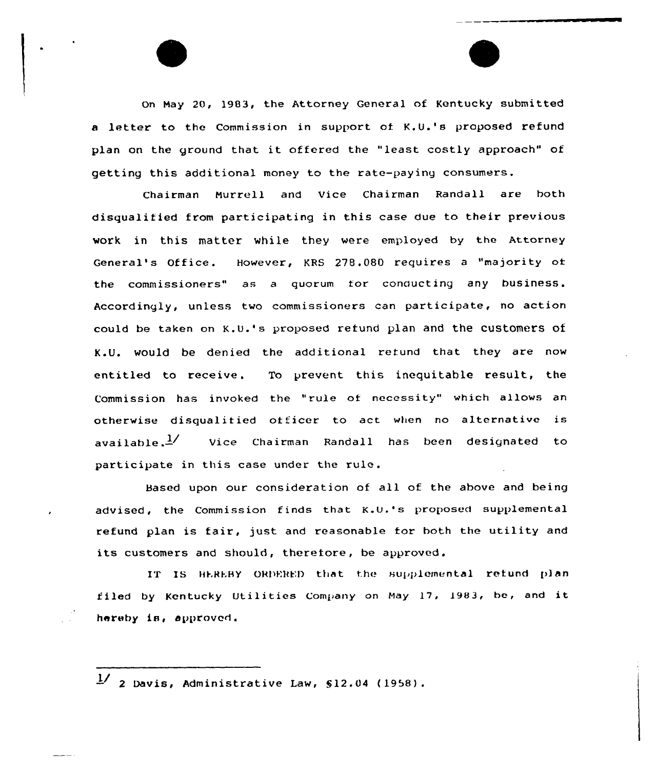on May 20, 1983, the Attorney General of Kentucky submitted a letter to the Commission in support of K.U.'s proposed refund plan on the ground that it offered the "least costly approach" of getting this additional money to the rate-paying consumers.

Chairman Murrell and Vice Chairman Randall are both disqualified from participating in this case due to their previous work in this matter while they were employed by the Attorney General's Office. However, KRS 278.080 requires <sup>a</sup> "majority oi the commissioners" as a quorum tor conducting any business. Accordingly, unless two commissioners can participate, no action could be taken on K.u.'s proposed refund plan and the customers of K.U. would be denied the additional refund that they are now entitled to receive. To prevent this inequitable result, the Commission has invoked the "rule of necessity" which allows an otherwise disqualitied officer to act when no alternative is available. $\frac{1}{2}$  Vice Chairman Randall has been designated to participate in this case under the rule.

Based upon our consideration of all of the above and being advised, the Commission finds that  $K.U.'s$  proposed supplemental refund plan is fair, just and reasonable tor both the utility and its customers and should, therefore, be approved.

IT IS HEREBY ORDERED that the supplemental refund plan filed by Kentucky Utilities Company on May 17, 1983, be, and it hereby is, approved.

 $\frac{1}{2}$  2 Davis, Administrative Law, §12.04 (1958).